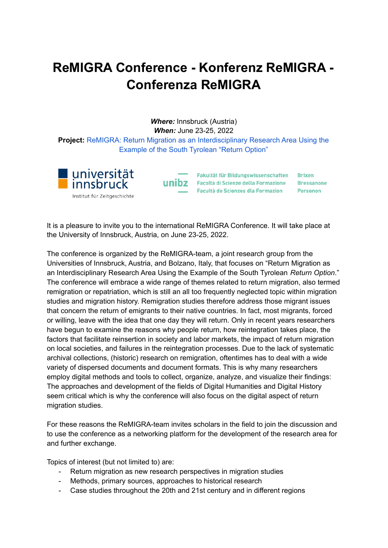## **ReMIGRA Conference - Konferenz ReMIGRA - Conferenza ReMIGRA**

*Where:* Innsbruck (Austria) *When:* June 23-25, 2022 **Project:** ReMIGRA: Return Migration as an [Interdisciplinary](https://www.uibk.ac.at/zeitgeschichte/remigra/index.html.de) Research Area Using the [Example](https://www.uibk.ac.at/zeitgeschichte/remigra/index.html.de) of the South Tyrolean "Return Option"



Fakultät für Bildungswissenschaften Brixen unibz Facoltà di Scienze della Formazione Bressanone Facultà de Scienzes dla Formazion Persenon

It is a pleasure to invite you to the international ReMIGRA Conference. It will take place at the University of Innsbruck, Austria, on June 23-25, 2022.

The conference is organized by the ReMIGRA-team, a joint research group from the Universities of Innsbruck, Austria, and Bolzano, Italy, that focuses on "Return Migration as an Interdisciplinary Research Area Using the Example of the South Tyrolean *Return Option*." The conference will embrace a wide range of themes related to return migration, also termed remigration or repatriation, which is still an all too frequently neglected topic within migration studies and migration history. Remigration studies therefore address those migrant issues that concern the return of emigrants to their native countries. In fact, most migrants, forced or willing, leave with the idea that one day they will return. Only in recent years researchers have begun to examine the reasons why people return, how reintegration takes place, the factors that facilitate reinsertion in society and labor markets, the impact of return migration on local societies, and failures in the reintegration processes. Due to the lack of systematic archival collections, (historic) research on remigration, oftentimes has to deal with a wide variety of dispersed documents and document formats. This is why many researchers employ digital methods and tools to collect, organize, analyze, and visualize their findings: The approaches and development of the fields of Digital Humanities and Digital History seem critical which is why the conference will also focus on the digital aspect of return migration studies.

For these reasons the ReMIGRA-team invites scholars in the field to join the discussion and to use the conference as a networking platform for the development of the research area for and further exchange.

Topics of interest (but not limited to) are:

- Return migration as new research perspectives in migration studies
- Methods, primary sources, approaches to historical research
- Case studies throughout the 20th and 21st century and in different regions